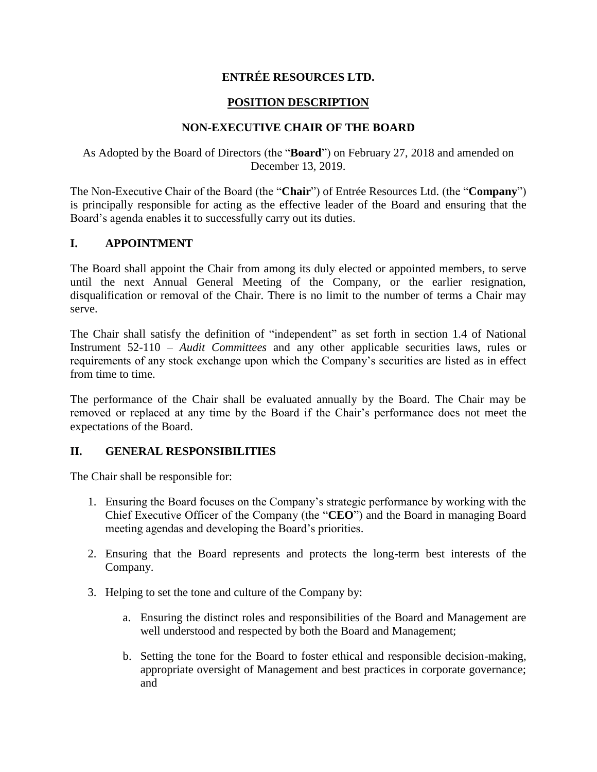# **ENTRÉE RESOURCES LTD.**

# **POSITION DESCRIPTION**

# **NON-EXECUTIVE CHAIR OF THE BOARD**

## As Adopted by the Board of Directors (the "**Board**") on February 27, 2018 and amended on December 13, 2019.

The Non-Executive Chair of the Board (the "**Chair**") of Entrée Resources Ltd. (the "**Company**") is principally responsible for acting as the effective leader of the Board and ensuring that the Board's agenda enables it to successfully carry out its duties.

## **I. APPOINTMENT**

The Board shall appoint the Chair from among its duly elected or appointed members, to serve until the next Annual General Meeting of the Company, or the earlier resignation, disqualification or removal of the Chair. There is no limit to the number of terms a Chair may serve.

The Chair shall satisfy the definition of "independent" as set forth in section 1.4 of National Instrument 52-110 – *Audit Committees* and any other applicable securities laws, rules or requirements of any stock exchange upon which the Company's securities are listed as in effect from time to time.

The performance of the Chair shall be evaluated annually by the Board. The Chair may be removed or replaced at any time by the Board if the Chair's performance does not meet the expectations of the Board.

### **II. GENERAL RESPONSIBILITIES**

The Chair shall be responsible for:

- 1. Ensuring the Board focuses on the Company's strategic performance by working with the Chief Executive Officer of the Company (the "**CEO**") and the Board in managing Board meeting agendas and developing the Board's priorities.
- 2. Ensuring that the Board represents and protects the long-term best interests of the Company.
- 3. Helping to set the tone and culture of the Company by:
	- a. Ensuring the distinct roles and responsibilities of the Board and Management are well understood and respected by both the Board and Management;
	- b. Setting the tone for the Board to foster ethical and responsible decision-making, appropriate oversight of Management and best practices in corporate governance; and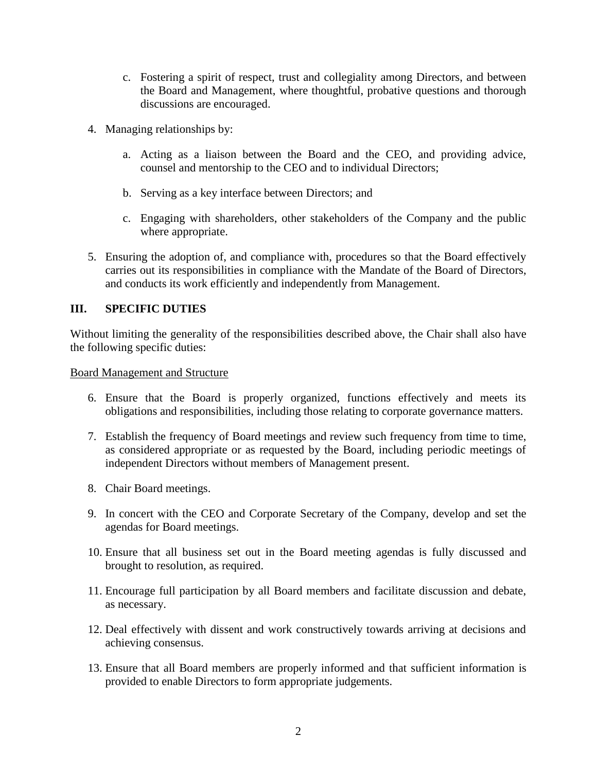- c. Fostering a spirit of respect, trust and collegiality among Directors, and between the Board and Management, where thoughtful, probative questions and thorough discussions are encouraged.
- 4. Managing relationships by:
	- a. Acting as a liaison between the Board and the CEO, and providing advice, counsel and mentorship to the CEO and to individual Directors;
	- b. Serving as a key interface between Directors; and
	- c. Engaging with shareholders, other stakeholders of the Company and the public where appropriate.
- 5. Ensuring the adoption of, and compliance with, procedures so that the Board effectively carries out its responsibilities in compliance with the Mandate of the Board of Directors, and conducts its work efficiently and independently from Management.

## **III. SPECIFIC DUTIES**

Without limiting the generality of the responsibilities described above, the Chair shall also have the following specific duties:

Board Management and Structure

- 6. Ensure that the Board is properly organized, functions effectively and meets its obligations and responsibilities, including those relating to corporate governance matters.
- 7. Establish the frequency of Board meetings and review such frequency from time to time, as considered appropriate or as requested by the Board, including periodic meetings of independent Directors without members of Management present.
- 8. Chair Board meetings.
- 9. In concert with the CEO and Corporate Secretary of the Company, develop and set the agendas for Board meetings.
- 10. Ensure that all business set out in the Board meeting agendas is fully discussed and brought to resolution, as required.
- 11. Encourage full participation by all Board members and facilitate discussion and debate, as necessary.
- 12. Deal effectively with dissent and work constructively towards arriving at decisions and achieving consensus.
- 13. Ensure that all Board members are properly informed and that sufficient information is provided to enable Directors to form appropriate judgements.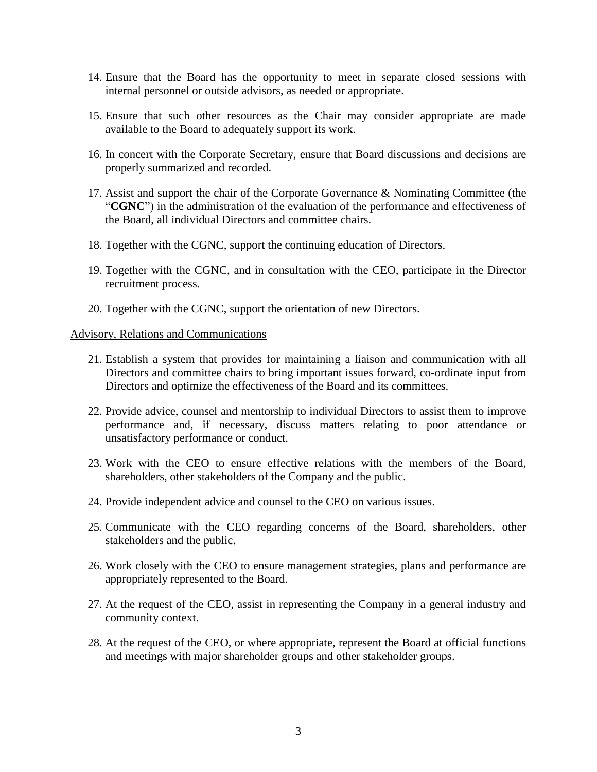- 14. Ensure that the Board has the opportunity to meet in separate closed sessions with internal personnel or outside advisors, as needed or appropriate.
- 15. Ensure that such other resources as the Chair may consider appropriate are made available to the Board to adequately support its work.
- 16. In concert with the Corporate Secretary, ensure that Board discussions and decisions are properly summarized and recorded.
- 17. Assist and support the chair of the Corporate Governance & Nominating Committee (the "**CGNC**") in the administration of the evaluation of the performance and effectiveness of the Board, all individual Directors and committee chairs.
- 18. Together with the CGNC, support the continuing education of Directors.
- 19. Together with the CGNC, and in consultation with the CEO, participate in the Director recruitment process.
- 20. Together with the CGNC, support the orientation of new Directors.

#### Advisory, Relations and Communications

- 21. Establish a system that provides for maintaining a liaison and communication with all Directors and committee chairs to bring important issues forward, co-ordinate input from Directors and optimize the effectiveness of the Board and its committees.
- 22. Provide advice, counsel and mentorship to individual Directors to assist them to improve performance and, if necessary, discuss matters relating to poor attendance or unsatisfactory performance or conduct.
- 23. Work with the CEO to ensure effective relations with the members of the Board, shareholders, other stakeholders of the Company and the public.
- 24. Provide independent advice and counsel to the CEO on various issues.
- 25. Communicate with the CEO regarding concerns of the Board, shareholders, other stakeholders and the public.
- 26. Work closely with the CEO to ensure management strategies, plans and performance are appropriately represented to the Board.
- 27. At the request of the CEO, assist in representing the Company in a general industry and community context.
- 28. At the request of the CEO, or where appropriate, represent the Board at official functions and meetings with major shareholder groups and other stakeholder groups.